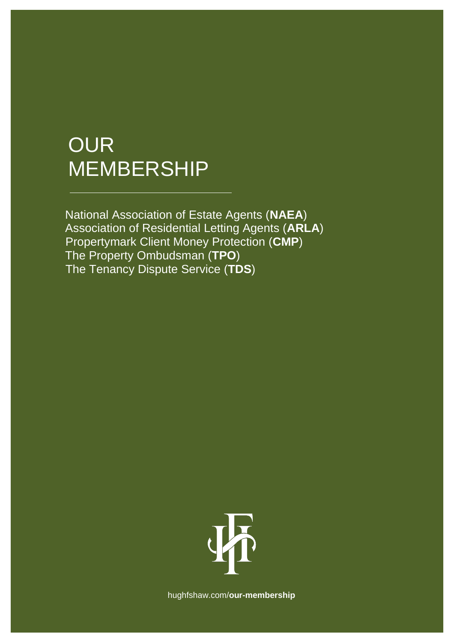# **OUR** MEMBERSHIP

National Association of Estate Agents (**NAEA**) Association of Residential Letting Agents (**ARLA**) Propertymark Client Money Protection (**CMP**) The Property Ombudsman (**TPO**) The Tenancy Dispute Service (**TDS**)



[hughfshaw.com/](http://www.hughfshaw.com/)**our-membership**